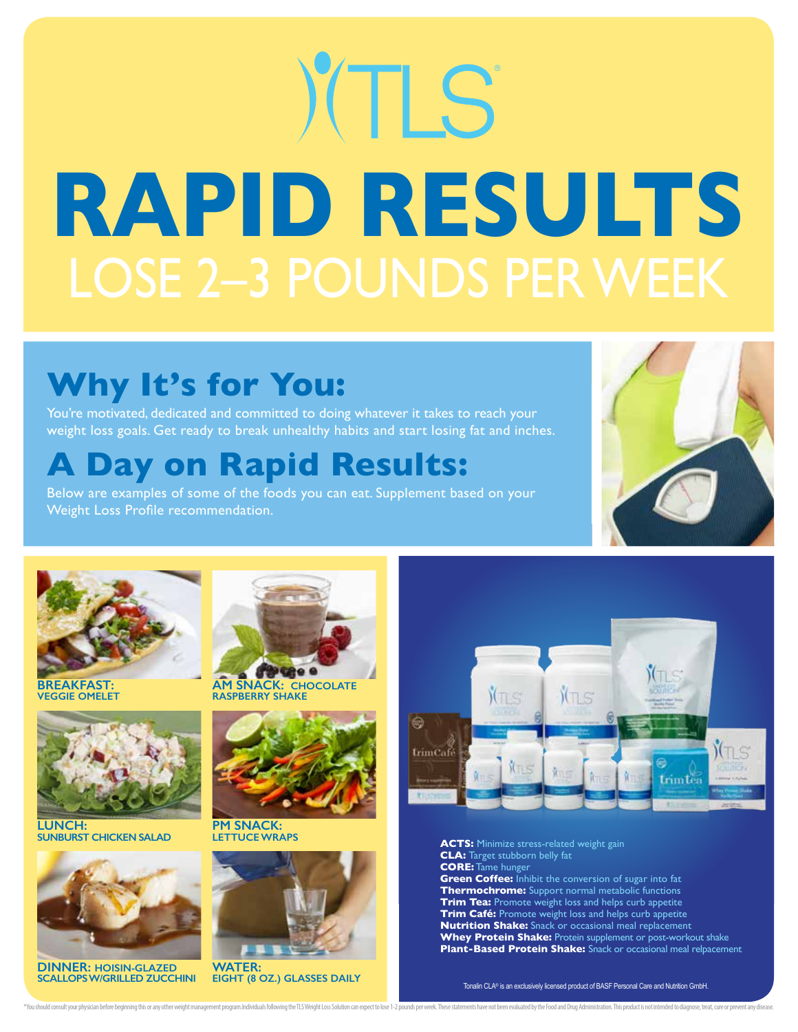# YTLS **RAPID RESULTS** LOSE 2–3 POUNDS PER WEEK

## **Why It's for You:**

You're motivated, dedicated and committed to doing whatever it takes to reach your weight loss goals. Get ready to break unhealthy habits and start losing fat and inches.

### **A Day on Rapid Results:**

Below are examples of some of the foods you can eat. Supplement based on your Weight Loss Profile recommendation.





**BREAKFAST: VEGGIE OMELET**



**LUNCH: SUNBURST CHICKEN SALAD**



**DINNER: HOISIN-GLAZED SCALLOPS W/GRILLED ZUCCHINI**



**AM SNACK: CHOCOLATE RASPBERRY SHAKE**



**PM SNACK: LETTUCE WRAPS**



**EIGHT (8 OZ.) GLASSES DAILY**

\*You should consult your physician before beginning this or any other weight management program.Individuals following the TLS Weight Loss Solution can expect to lose 1-2 pounds per week. These statements have not been eval



**ACTS:** Minimize stress-related weight gain **CLA:** Target stubborn belly fat **CORE:** Tame hunger **Green Coffee:** Inhibit the conversion of sugar into fat **Thermochrome:** Support normal metabolic functions **Trim Tea:** Promote weight loss and helps curb appetite **Trim Café:** Promote weight loss and helps curb appetite **Nutrition Shake:** Snack or occasional meal replacement **Whey Protein Shake:** Protein supplement or post-workout shake **Plant-Based Protein Shake:** Snack or occasional meal relpacement

Tonalin CLA® is an exclusively licensed product of BASF Personal Care and Nutrition GmbH.